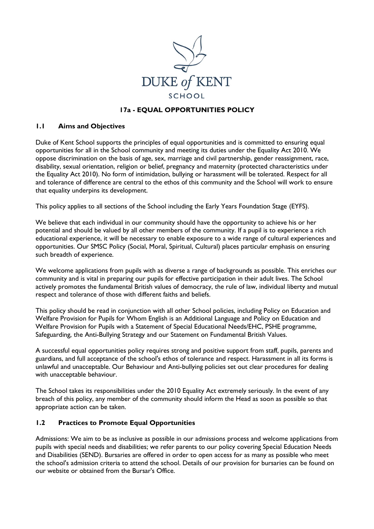

### **17a - EQUAL OPPORTUNITIES POLICY**

### **1.1 Aims and Objectives**

Duke of Kent School supports the principles of equal opportunities and is committed to ensuring equal opportunities for all in the School community and meeting its duties under the Equality Act 2010. We oppose discrimination on the basis of age, sex, marriage and civil partnership, gender reassignment, race, disability, sexual orientation, religion or belief, pregnancy and maternity (protected characteristics under the Equality Act 2010). No form of intimidation, bullying or harassment will be tolerated. Respect for all and tolerance of difference are central to the ethos of this community and the School will work to ensure that equality underpins its development.

This policy applies to all sections of the School including the Early Years Foundation Stage (EYFS).

We believe that each individual in our community should have the opportunity to achieve his or her potential and should be valued by all other members of the community. If a pupil is to experience a rich educational experience, it will be necessary to enable exposure to a wide range of cultural experiences and opportunities. Our SMSC Policy (Social, Moral, Spiritual, Cultural) places particular emphasis on ensuring such breadth of experience.

We welcome applications from pupils with as diverse a range of backgrounds as possible. This enriches our community and is vital in preparing our pupils for effective participation in their adult lives. The School actively promotes the fundamental British values of democracy, the rule of law, individual liberty and mutual respect and tolerance of those with different faiths and beliefs.

This policy should be read in conjunction with all other School policies, including Policy on Education and Welfare Provision for Pupils for Whom English is an Additional Language and Policy on Education and Welfare Provision for Pupils with a Statement of Special Educational Needs/EHC, PSHE programme, Safeguarding, the Anti-Bullying Strategy and our Statement on Fundamental British Values.

A successful equal opportunities policy requires strong and positive support from staff, pupils, parents and guardians, and full acceptance of the school's ethos of tolerance and respect. Harassment in all its forms is unlawful and unacceptable. Our Behaviour and Anti-bullying policies set out clear procedures for dealing with unacceptable behaviour.

The School takes its responsibilities under the 2010 Equality Act extremely seriously. In the event of any breach of this policy, any member of the community should inform the Head as soon as possible so that appropriate action can be taken.

### **1.2 Practices to Promote Equal Opportunities**

Admissions: We aim to be as inclusive as possible in our admissions process and welcome applications from pupils with special needs and disabilities; we refer parents to our policy covering Special Education Needs and Disabilities (SEND). Bursaries are offered in order to open access for as many as possible who meet the school's admission criteria to attend the school. Details of our provision for bursaries can be found on our website or obtained from the Bursar's Office.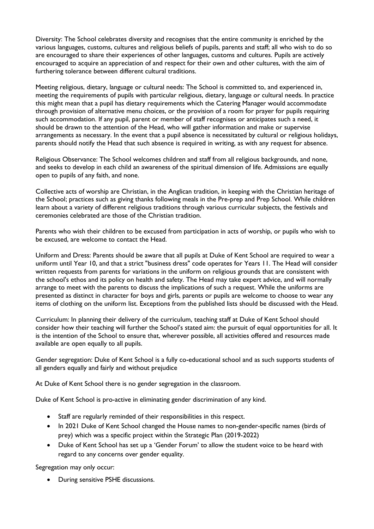Diversity: The School celebrates diversity and recognises that the entire community is enriched by the various languages, customs, cultures and religious beliefs of pupils, parents and staff; all who wish to do so are encouraged to share their experiences of other languages, customs and cultures. Pupils are actively encouraged to acquire an appreciation of and respect for their own and other cultures, with the aim of furthering tolerance between different cultural traditions.

Meeting religious, dietary, language or cultural needs: The School is committed to, and experienced in, meeting the requirements of pupils with particular religious, dietary, language or cultural needs. In practice this might mean that a pupil has dietary requirements which the Catering Manager would accommodate through provision of alternative menu choices, or the provision of a room for prayer for pupils requiring such accommodation. If any pupil, parent or member of staff recognises or anticipates such a need, it should be drawn to the attention of the Head, who will gather information and make or supervise arrangements as necessary. In the event that a pupil absence is necessitated by cultural or religious holidays, parents should notify the Head that such absence is required in writing, as with any request for absence.

Religious Observance: The School welcomes children and staff from all religious backgrounds, and none, and seeks to develop in each child an awareness of the spiritual dimension of life. Admissions are equally open to pupils of any faith, and none.

Collective acts of worship are Christian, in the Anglican tradition, in keeping with the Christian heritage of the School; practices such as giving thanks following meals in the Pre-prep and Prep School. While children learn about a variety of different religious traditions through various curricular subjects, the festivals and ceremonies celebrated are those of the Christian tradition.

Parents who wish their children to be excused from participation in acts of worship, or pupils who wish to be excused, are welcome to contact the Head.

Uniform and Dress: Parents should be aware that all pupils at Duke of Kent School are required to wear a uniform until Year 10, and that a strict "business dress" code operates for Years 11. The Head will consider written requests from parents for variations in the uniform on religious grounds that are consistent with the school's ethos and its policy on health and safety. The Head may take expert advice, and will normally arrange to meet with the parents to discuss the implications of such a request. While the uniforms are presented as distinct in character for boys and girls, parents or pupils are welcome to choose to wear any items of clothing on the uniform list. Exceptions from the published lists should be discussed with the Head.

Curriculum: In planning their delivery of the curriculum, teaching staff at Duke of Kent School should consider how their teaching will further the School's stated aim: the pursuit of equal opportunities for all. It is the intention of the School to ensure that, wherever possible, all activities offered and resources made available are open equally to all pupils.

Gender segregation: Duke of Kent School is a fully co-educational school and as such supports students of all genders equally and fairly and without prejudice

At Duke of Kent School there is no gender segregation in the classroom.

Duke of Kent School is pro-active in eliminating gender discrimination of any kind.

- Staff are regularly reminded of their responsibilities in this respect.
- In 2021 Duke of Kent School changed the House names to non-gender-specific names (birds of prey) which was a specific project within the Strategic Plan (2019-2022)
- Duke of Kent School has set up a 'Gender Forum' to allow the student voice to be heard with regard to any concerns over gender equality.

Segregation may only occur:

• During sensitive PSHE discussions.